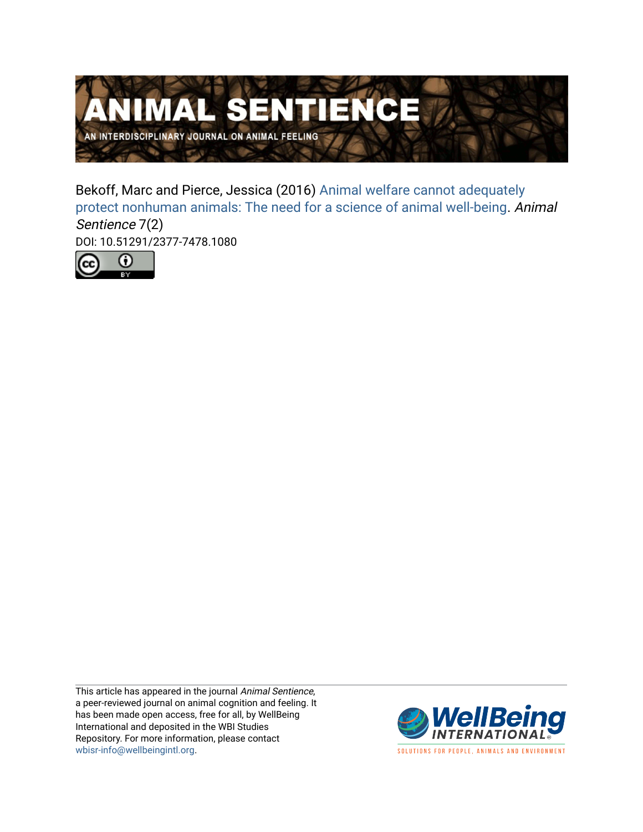

Bekoff, Marc and Pierce, Jessica (2016) [Animal welfare cannot adequately](https://www.wellbeingintlstudiesrepository.org/animsent/vol1/iss7/2) [protect nonhuman animals: The need for a science of animal well-being](https://www.wellbeingintlstudiesrepository.org/animsent/vol1/iss7/2). Animal Sentience 7(2) DOI: 10.51291/2377-7478.1080



This article has appeared in the journal Animal Sentience, a peer-reviewed journal on animal cognition and feeling. It has been made open access, free for all, by WellBeing International and deposited in the WBI Studies Repository. For more information, please contact [wbisr-info@wellbeingintl.org](mailto:wbisr-info@wellbeingintl.org).



SOLUTIONS FOR PEOPLE, ANIMALS AND ENVIRONMENT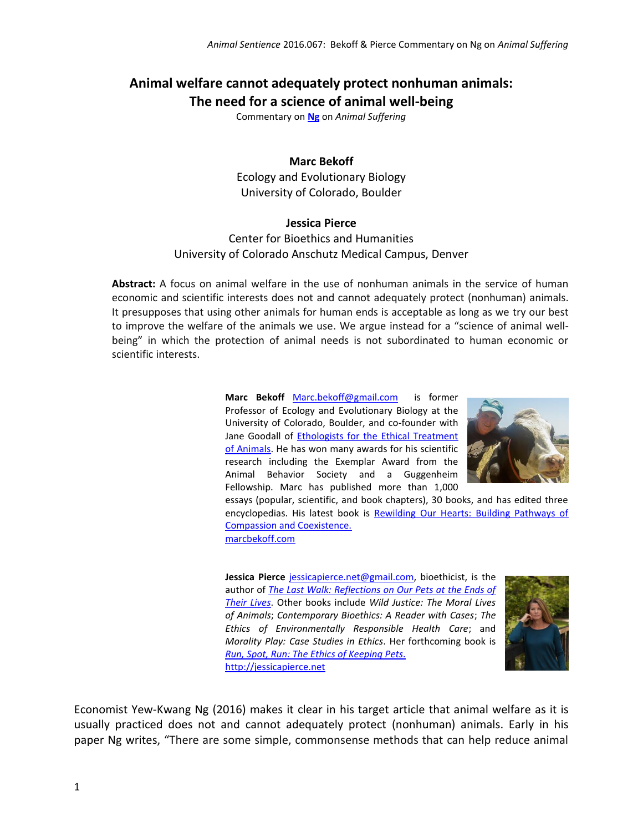# **Animal welfare cannot adequately protect nonhuman animals:**

**The need for a science of animal well-being**

Commentary on **[Ng](http://animalstudiesrepository.org/animsent/vol1/iss7/1)** on *Animal Suffering*

### **Marc Bekoff**

Ecology and Evolutionary Biology University of Colorado, Boulder

#### **Jessica Pierce**

# Center for Bioethics and Humanities University of Colorado Anschutz Medical Campus, Denver

**Abstract:** A focus on animal welfare in the use of nonhuman animals in the service of human economic and scientific interests does not and cannot adequately protect (nonhuman) animals. It presupposes that using other animals for human ends is acceptable as long as we try our best to improve the welfare of the animals we use. We argue instead for a "science of animal wellbeing" in which the protection of animal needs is not subordinated to human economic or scientific interests.

> **Marc Bekoff** [Marc.bekoff@gmail.com](mailto:Marc.bekoff@gmail.com) is former Professor of Ecology and Evolutionary Biology at the University of Colorado, Boulder, and co-founder with Jane Goodall of **Ethologists for the Ethical Treatment** [of Animals.](http://www.ethologicalethics.org/) He has won many awards for his scientific research including the Exemplar Award from the Animal Behavior Society and a Guggenheim Fellowship. Marc has published more than 1,000



essays (popular, scientific, and book chapters), 30 books, and has edited three encyclopedias. His latest book is [Rewilding Our Hearts: Building Pathways of](http://www.newworldlibrary.com/BooksProducts/ProductDetails/tabid/64/SKU/19542/Default.aspx)  [Compassion and Coexistence.](http://www.newworldlibrary.com/BooksProducts/ProductDetails/tabid/64/SKU/19542/Default.aspx)

[marcbekoff.com](http://marcbekoff.com/)

**Jessica Pierce** [jessicapierce.net@gmail.com,](mailto:jessicapierce.net@gmail.com) bioethicist, is the author of *[The Last Walk: Reflections on Our Pets at the Ends of](http://press.uchicago.edu/ucp/books/book/chicago/L/bo11097201.html)  [Their Lives](http://press.uchicago.edu/ucp/books/book/chicago/L/bo11097201.html)*. Other books include *Wild Justice: The Moral Lives of Animals*; *Contemporary Bioethics: A Reader with Cases*; *The Ethics of Environmentally Responsible Health Care*; and *Morality Play: Case Studies in Ethics*. Her forthcoming book is *[Run, Spot, Run: The Ethics of Keeping Pets.](http://press.uchicago.edu/ucp/books/book/chicago/R/bo19416930.html)* [http://jessicapierce.net](http://jessicapierce.net/)



Economist Yew-Kwang Ng (2016) makes it clear in his target article that animal welfare as it is usually practiced does not and cannot adequately protect (nonhuman) animals. Early in his paper Ng writes, "There are some simple, commonsense methods that can help reduce animal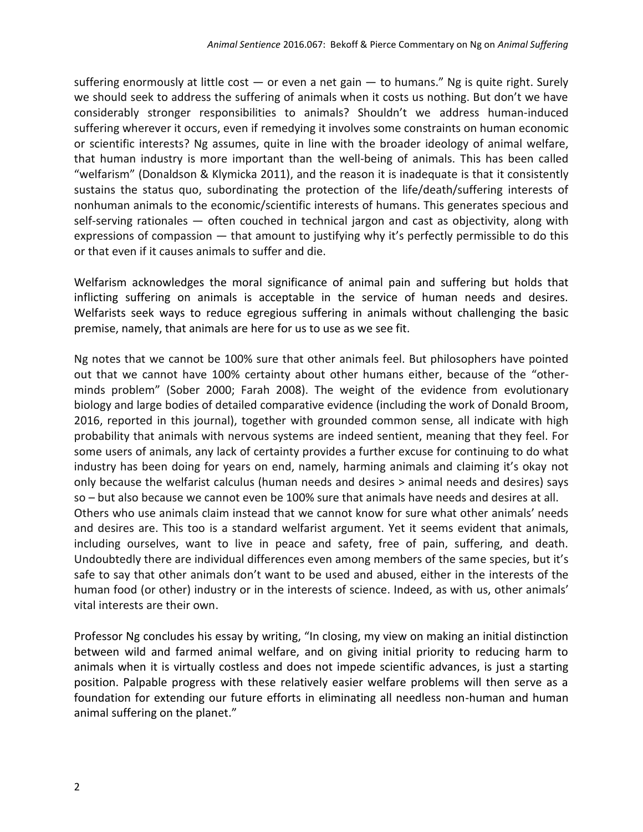suffering enormously at little cost  $-$  or even a net gain  $-$  to humans." Ng is quite right. Surely we should seek to address the suffering of animals when it costs us nothing. But don't we have considerably stronger responsibilities to animals? Shouldn't we address human-induced suffering wherever it occurs, even if remedying it involves some constraints on human economic or scientific interests? Ng assumes, quite in line with the broader ideology of animal welfare, that human industry is more important than the well-being of animals. This has been called "welfarism" (Donaldson & Klymicka 2011), and the reason it is inadequate is that it consistently sustains the status quo, subordinating the protection of the life/death/suffering interests of nonhuman animals to the economic/scientific interests of humans. This generates specious and self-serving rationales — often couched in technical jargon and cast as objectivity, along with expressions of compassion — that amount to justifying why it's perfectly permissible to do this or that even if it causes animals to suffer and die.

Welfarism acknowledges the moral significance of animal pain and suffering but holds that inflicting suffering on animals is acceptable in the service of human needs and desires. Welfarists seek ways to reduce egregious suffering in animals without challenging the basic premise, namely, that animals are here for us to use as we see fit.

Ng notes that we cannot be 100% sure that other animals feel. But philosophers have pointed out that we cannot have 100% certainty about other humans either, because of the "otherminds problem" (Sober 2000; Farah 2008). The weight of the evidence from evolutionary biology and large bodies of detailed comparative evidence (including the work of Donald Broom, 2016, reported in this journal), together with grounded common sense, all indicate with high probability that animals with nervous systems are indeed sentient, meaning that they feel. For some users of animals, any lack of certainty provides a further excuse for continuing to do what industry has been doing for years on end, namely, harming animals and claiming it's okay not only because the welfarist calculus (human needs and desires > animal needs and desires) says so – but also because we cannot even be 100% sure that animals have needs and desires at all. Others who use animals claim instead that we cannot know for sure what other animals' needs and desires are. This too is a standard welfarist argument. Yet it seems evident that animals, including ourselves, want to live in peace and safety, free of pain, suffering, and death. Undoubtedly there are individual differences even among members of the same species, but it's safe to say that other animals don't want to be used and abused, either in the interests of the human food (or other) industry or in the interests of science. Indeed, as with us, other animals' vital interests are their own.

Professor Ng concludes his essay by writing, "In closing, my view on making an initial distinction between wild and farmed animal welfare, and on giving initial priority to reducing harm to animals when it is virtually costless and does not impede scientific advances, is just a starting position. Palpable progress with these relatively easier welfare problems will then serve as a foundation for extending our future efforts in eliminating all needless non-human and human animal suffering on the planet."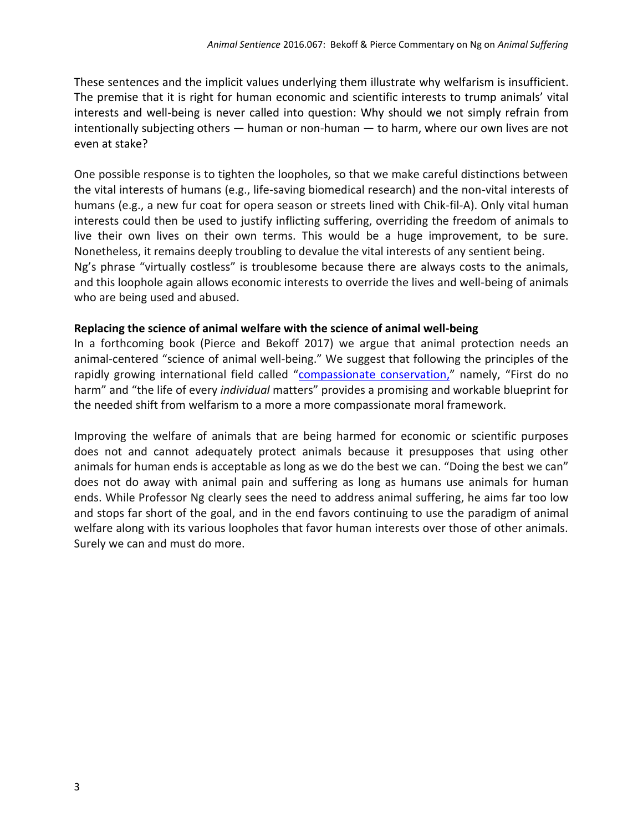These sentences and the implicit values underlying them illustrate why welfarism is insufficient. The premise that it is right for human economic and scientific interests to trump animals' vital interests and well-being is never called into question: Why should we not simply refrain from intentionally subjecting others — human or non-human — to harm, where our own lives are not even at stake?

One possible response is to tighten the loopholes, so that we make careful distinctions between the vital interests of humans (e.g., life-saving biomedical research) and the non-vital interests of humans (e.g., a new fur coat for opera season or streets lined with Chik-fil-A). Only vital human interests could then be used to justify inflicting suffering, overriding the freedom of animals to live their own lives on their own terms. This would be a huge improvement, to be sure. Nonetheless, it remains deeply troubling to devalue the vital interests of any sentient being. Ng's phrase "virtually costless" is troublesome because there are always costs to the animals, and this loophole again allows economic interests to override the lives and well-being of animals who are being used and abused.

# **Replacing the science of animal welfare with the science of animal well-being**

In a forthcoming book (Pierce and Bekoff 2017) we argue that animal protection needs an animal-centered "science of animal well-being." We suggest that following the principles of the rapidly growing international field called "[compassionate conservation,](https://www.psychologytoday.com/blog/animal-emotions/201508/compassionate-conservation-meets-cecil-the-slain-lion)" namely, "First do no harm" and "the life of every *individual* matters" provides a promising and workable blueprint for the needed shift from welfarism to a more a more compassionate moral framework.

Improving the welfare of animals that are being harmed for economic or scientific purposes does not and cannot adequately protect animals because it presupposes that using other animals for human ends is acceptable as long as we do the best we can. "Doing the best we can" does not do away with animal pain and suffering as long as humans use animals for human ends. While Professor Ng clearly sees the need to address animal suffering, he aims far too low and stops far short of the goal, and in the end favors continuing to use the paradigm of animal welfare along with its various loopholes that favor human interests over those of other animals. Surely we can and must do more.